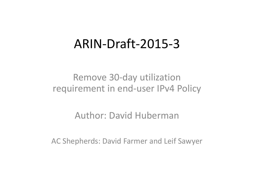#### ARIN‐Draft‐2015‐3

#### Remove 30‐day utilization requirement in end‐user IPv4 Policy

#### Author: David Huberman

AC Shepherds: David Farmer and Leif Sawyer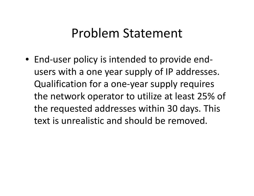### Problem Statement

• End‐user policy is intended to provide end‐ users with <sup>a</sup> one year supply of IP addresses. Qualification for <sup>a</sup> one‐year supply requires the network operator to utilize at least 25% of the requested addresses within 30 days. This text is unrealistic and should be removed.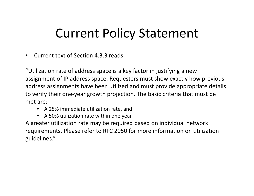## Current Policy Statement

•Current text of Section 4.3.3 reads:

"Utilization rate of address space is <sup>a</sup> key factor in justifying <sup>a</sup> new assignment of IP address space. Requesters must show exactly how previous address assignments have been utilized and must provide appropriate details to verify their one‐year growth projection. The basic criteria that must be met are:

- A 25% immediate utilization rate, and
- •A 50% utilization rate within one year.

A greater utilization rate may be required based on individual network requirements. Please refer to RFC 2050 for more information on utilization guidelines."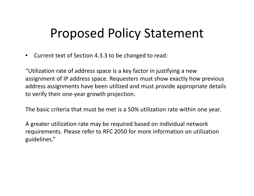# Proposed Policy Statement

 $\bullet$ • Current text of Section 4.3.3 to be changed to read:

"Utilization rate of address space is <sup>a</sup> key factor in justifying <sup>a</sup> new assignment of IP address space. Requesters must show exactly how previous address assignments have been utilized and must provide appropriate details to verify their one‐year growth projection.

The basic criteria that must be met is <sup>a</sup> 50% utilization rate within one year.

A greater utilization rate may be required based on individual network requirements. Please refer to RFC 2050 for more information on utilization guidelines."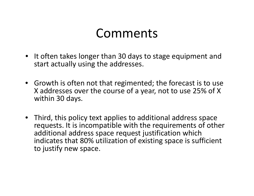### Comments

- It often takes longer than 30 days to stage equipment and start actually using the addresses.
- Growth is often not that regimented; the forecast is to use X addresses over the course of <sup>a</sup> year, not to use 25% of X within 30 days.
- Third, this policy text applies to additional address space requests. It is incompatible with the requirements of other additional address space request justification which indicates that 80% utilization of existing space is sufficient to justify new space.